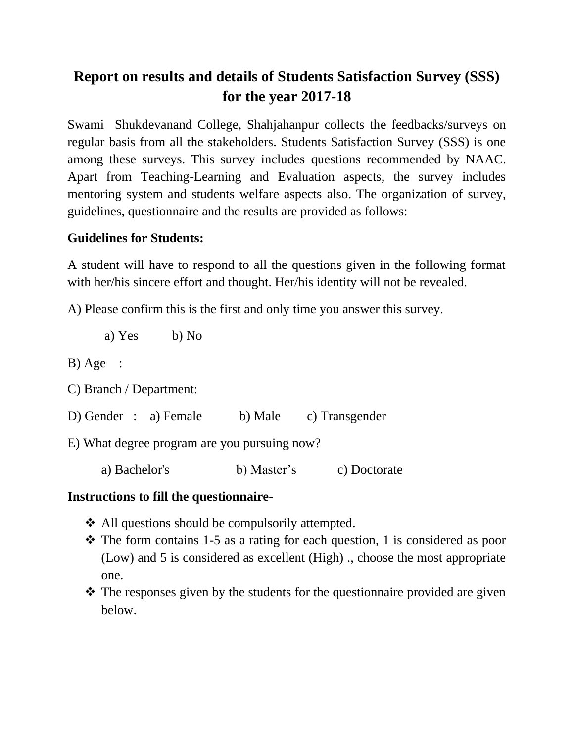# **Report on results and details of Students Satisfaction Survey (SSS) for the year 2017-18**

Swami Shukdevanand College, Shahjahanpur collects the feedbacks/surveys on regular basis from all the stakeholders. Students Satisfaction Survey (SSS) is one among these surveys. This survey includes questions recommended by NAAC. Apart from Teaching-Learning and Evaluation aspects, the survey includes mentoring system and students welfare aspects also. The organization of survey, guidelines, questionnaire and the results are provided as follows:

#### **Guidelines for Students:**

A student will have to respond to all the questions given in the following format with her/his sincere effort and thought. Her/his identity will not be revealed.

A) Please confirm this is the first and only time you answer this survey.

a) Yes b) No

B) Age :

C) Branch / Department:

D) Gender : a) Female b) Male c) Transgender

E) What degree program are you pursuing now?

a) Bachelor's b) Master's c) Doctorate

#### **Instructions to fill the questionnaire-**

- ❖ All questions should be compulsorily attempted.
- ❖ The form contains 1-5 as a rating for each question, 1 is considered as poor (Low) and 5 is considered as excellent (High) ., choose the most appropriate one.
- ❖ The responses given by the students for the questionnaire provided are given below.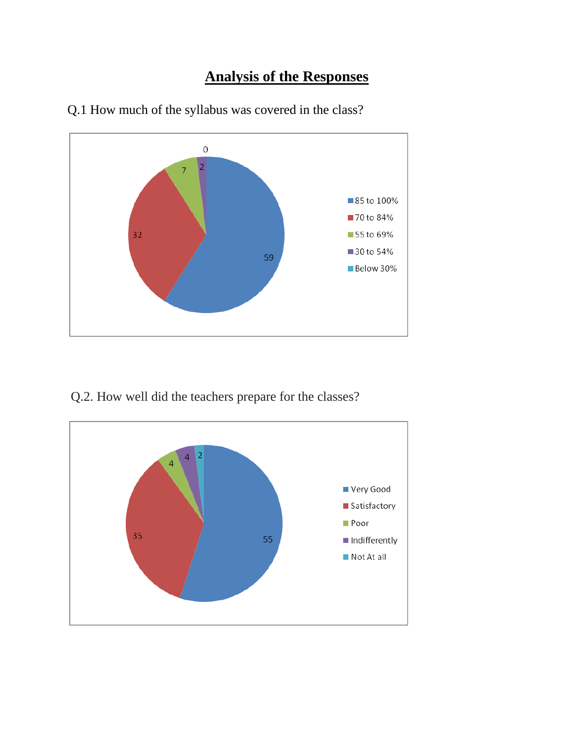### **Analysis of the Responses**



Q.1 How much of the syllabus was covered in the class?

Q.2. How well did the teachers prepare for the classes?

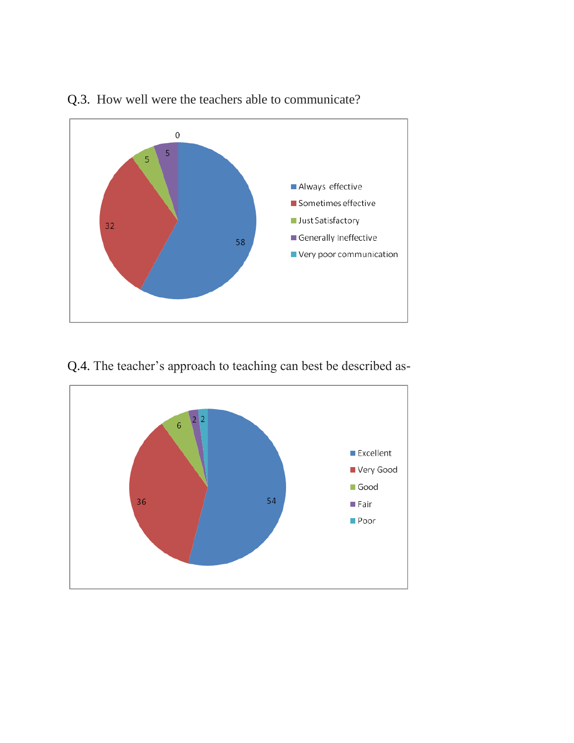

#### Q.3. How well were the teachers able to communicate?

Q.4. The teacher's approach to teaching can best be described as-

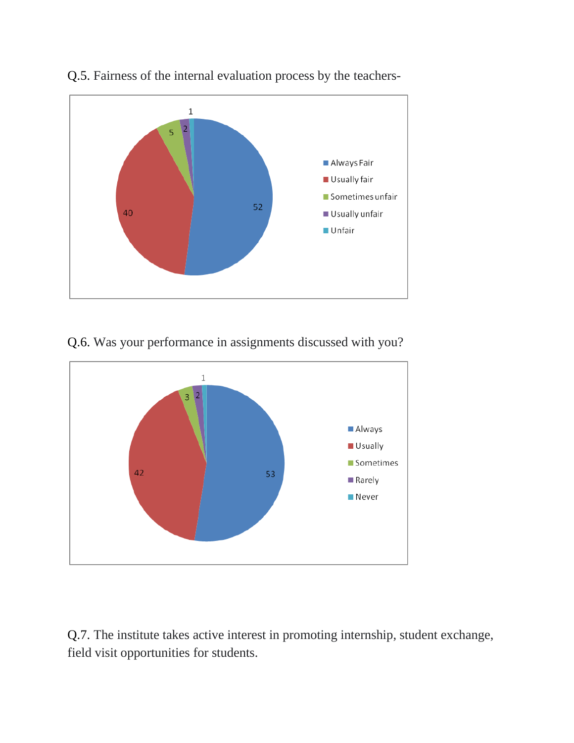



Q.6. Was your performance in assignments discussed with you?



Q.7. The institute takes active interest in promoting internship, student exchange, field visit opportunities for students.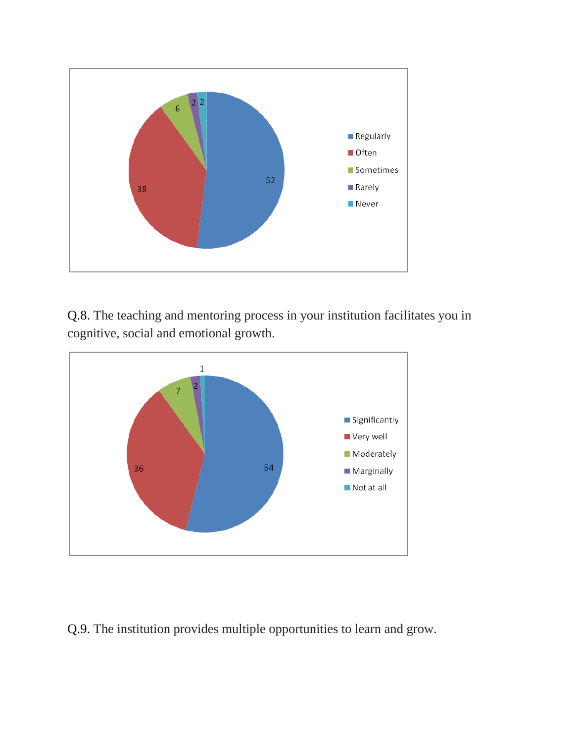

Q.8. The teaching and mentoring process in your institution facilitates you in cognitive, social and emotional growth.



Q.9. The institution provides multiple opportunities to learn and grow.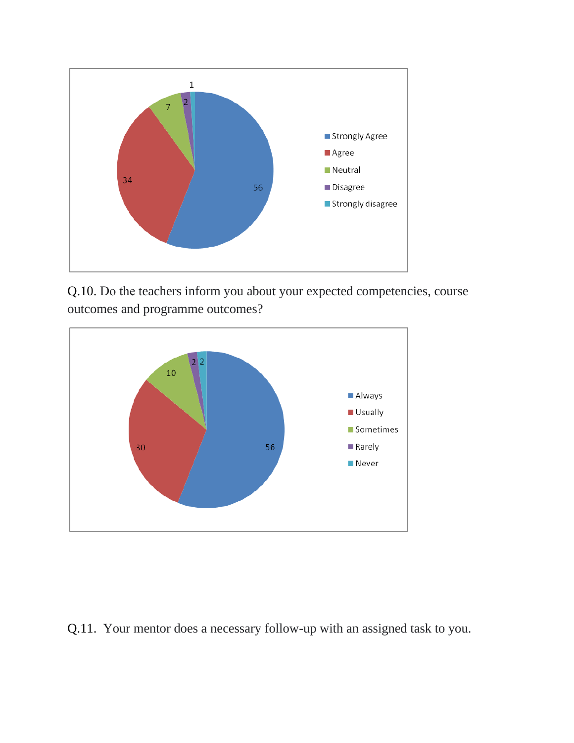

Q.10. Do the teachers inform you about your expected competencies, course outcomes and programme outcomes?



Q.11. Your mentor does a necessary follow-up with an assigned task to you.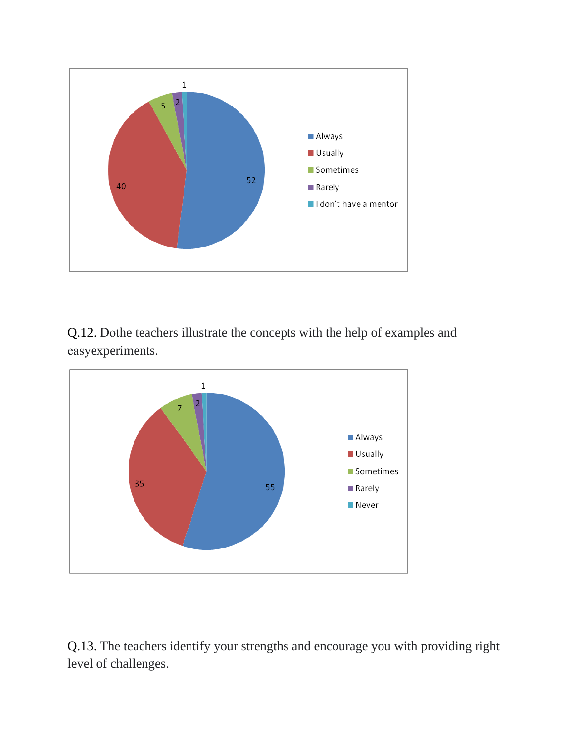

Q.12. Dothe teachers illustrate the concepts with the help of examples and easyexperiments.



Q.13. The teachers identify your strengths and encourage you with providing right level of challenges.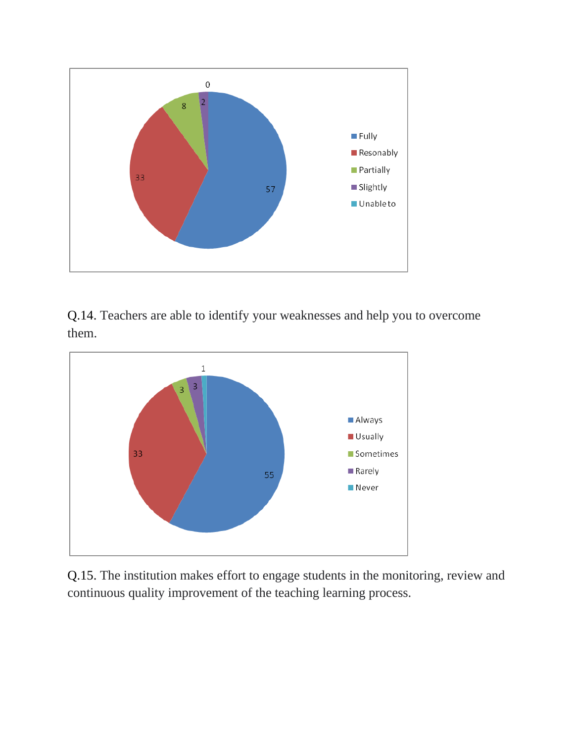

Q.14. Teachers are able to identify your weaknesses and help you to overcome them.



Q.15. The institution makes effort to engage students in the monitoring, review and continuous quality improvement of the teaching learning process.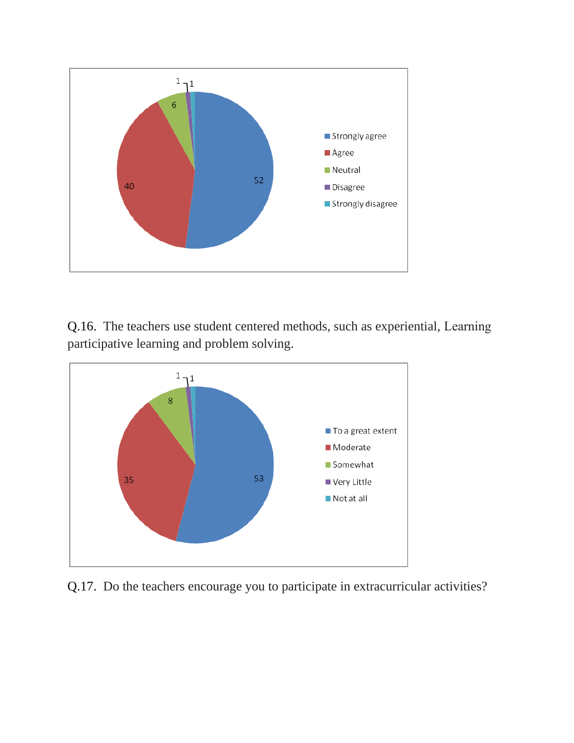

Q.16. The teachers use student centered methods, such as experiential, Learning participative learning and problem solving.



Q.17. Do the teachers encourage you to participate in extracurricular activities?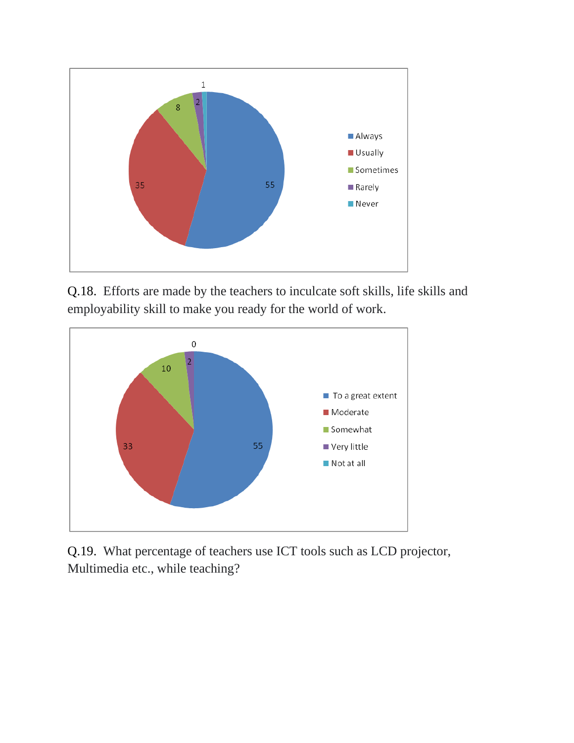

Q.18. Efforts are made by the teachers to inculcate soft skills, life skills and employability skill to make you ready for the world of work.



Q.19. What percentage of teachers use ICT tools such as LCD projector, Multimedia etc., while teaching?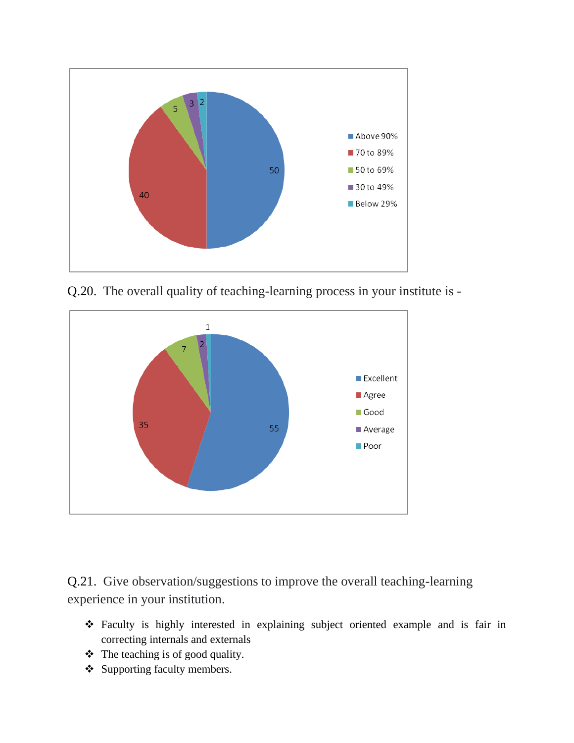

Q.20. The overall quality of teaching-learning process in your institute is -



Q.21. Give observation/suggestions to improve the overall teaching-learning experience in your institution.

- ❖ Faculty is highly interested in explaining subject oriented example and is fair in correcting internals and externals
- ❖ The teaching is of good quality.
- ❖ Supporting faculty members.